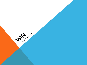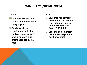# WIN TEAMS/HOMEROOM

#### TEAMS

- **students will put into** teams for both Math and Language Arts
- **ASSE** Students will be continually evaluated and assessed every 6-8 weeks to make sure their needs are being met

#### HOMEROOM

- **Students will normally** meet in their homeroom class Monday-Thursday from 8:05-8:45 and from 12:10-2:25
- **※ Your child's homeroom** teacher will be your first point of contact

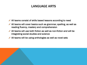### LANGUAGE ARTS

- All teams consist of skills based lessons according to need
- $\blacktriangleright$  All teams will cover basics such as grammar, spelling, as well as reading fluency, mastery and comprehension
- $\mathscr P$  All teams will use both fiction as well as non-fiction and will be integrating social studies and science
- $\blacktriangleright$  All teams will be using anthologies as well as novel sets

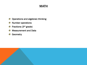## **MATH**

- Operations and algebraic thinking 碳
- Number operations 哪
- Fractions (3rd grade) 83
- Measurement and Data 健
- **Geometry** 哪

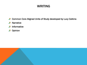## WRITING

- Common Core Aligned Units of Study developed by Lucy Calkins
- Narrative
- Informative
- Opinion

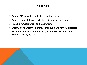### **SCIENCE**

- Power of Flowers: life cycle, traits and heredity  $\frac{1}{2}$
- Animals through time: habits, heredity and change over time  $\frac{1}{2}$
- Invisible forces: motion and magnetism ₩
- Stormy skies: weather climate, water cycle and natural disasters ₩
- Field trips: Pepperwood Preserve, Academy of Sciences and  $\frac{1}{2}$ Sonoma County Ag Days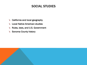### SOCIAL STUDIES

- **California and local geography**
- $\begin{picture}(20,20) \put(0,0){\line(1,0){10}} \put(15,0){\line(1,0){10}} \put(15,0){\line(1,0){10}} \put(15,0){\line(1,0){10}} \put(15,0){\line(1,0){10}} \put(15,0){\line(1,0){10}} \put(15,0){\line(1,0){10}} \put(15,0){\line(1,0){10}} \put(15,0){\line(1,0){10}} \put(15,0){\line(1,0){10}} \put(15,0){\line(1,0){10}} \put(15,0){\line(1$ Local Native American studies
- Rules, laws, and U.S. Government
- Sonoma County history

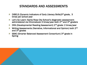### STANDARDS AND ASSESSMENTS

- DIBELS (Dynamic Indicators of Early Literacy Skills)3rd grade, 3  $\mathcal{L}$ times per school year
- Let's Go Learn: Santa Rosa City School's diagnostic assessment:  $\mathcal{L}_{\mathcal{S}}$ administered via Chromebook 3 times/year both 2<sup>nd</sup> and 3<sup>rd</sup> graders
- DRA (Developmental Reading Assessment) 2nd grade: 2 times/year  $\frac{1}{2}$
- Writing Assessments (Narrative, Informational and Opinion) both 2nd  $\mathbb{R}$ and 3<sup>rd</sup> grades
- SBAC (Smarter Balanced Assessment Consortium) 3rd grade in  $\mathcal{L}$ Spring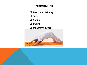### ENRICHMENT

 $\Box$  Poetry and Painting

q Yoga

 $\square$  Sewing

 $\Box$  Coding

□ Makers Workshop

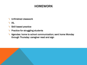## HOMEWORK

- Unfinished classwork
- **IXL**
- **Skill based practice**
- **N** Practice for struggling students
- **\ Agendas: home to school communication; sent home Monday** through Thursday: caregiver read and sign